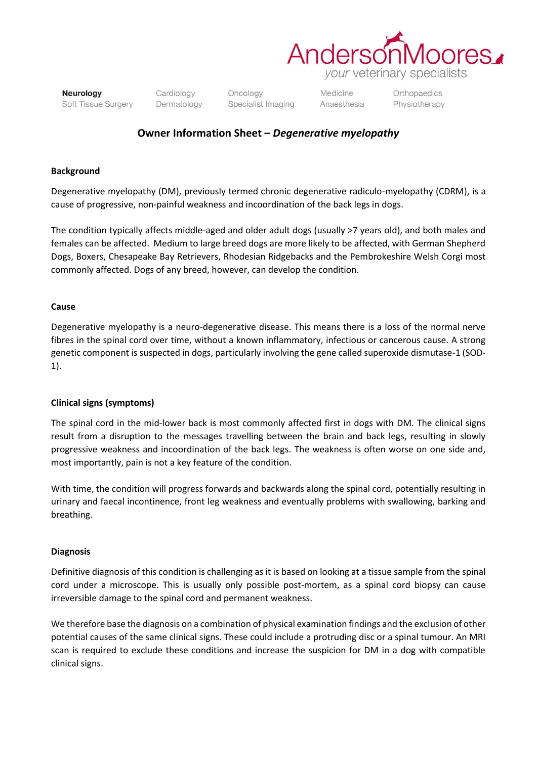

Neurology Soft Tissue Surgery Cardiology Dermatology Oncology Specialist Imaging

Medicine Anaesthesia Orthopaedics Physiotherapy

## **Owner Information Sheet –** *Degenerative myelopathy*

#### **Background**

Degenerative myelopathy (DM), previously termed chronic degenerative radiculo-myelopathy (CDRM), is a cause of progressive, non-painful weakness and incoordination of the back legs in dogs.

The condition typically affects middle-aged and older adult dogs (usually >7 years old), and both males and females can be affected. Medium to large breed dogs are more likely to be affected, with German Shepherd Dogs, Boxers, Chesapeake Bay Retrievers, Rhodesian Ridgebacks and the Pembrokeshire Welsh Corgi most commonly affected. Dogs of any breed, however, can develop the condition.

#### **Cause**

Degenerative myelopathy is a neuro-degenerative disease. This means there is a loss of the normal nerve fibres in the spinal cord over time, without a known inflammatory, infectious or cancerous cause. A strong genetic component is suspected in dogs, particularly involving the gene called superoxide dismutase-1 (SOD-1).

### **Clinical signs (symptoms)**

The spinal cord in the mid-lower back is most commonly affected first in dogs with DM. The clinical signs result from a disruption to the messages travelling between the brain and back legs, resulting in slowly progressive weakness and incoordination of the back legs. The weakness is often worse on one side and, most importantly, pain is not a key feature of the condition.

With time, the condition will progress forwards and backwards along the spinal cord, potentially resulting in urinary and faecal incontinence, front leg weakness and eventually problems with swallowing, barking and breathing.

#### **Diagnosis**

Definitive diagnosis of this condition is challenging as it is based on looking at a tissue sample from the spinal cord under a microscope. This is usually only possible post-mortem, as a spinal cord biopsy can cause irreversible damage to the spinal cord and permanent weakness.

We therefore base the diagnosis on a combination of physical examination findings and the exclusion of other potential causes of the same clinical signs. These could include a protruding disc or a spinal tumour. An MRI scan is required to exclude these conditions and increase the suspicion for DM in a dog with compatible clinical signs.